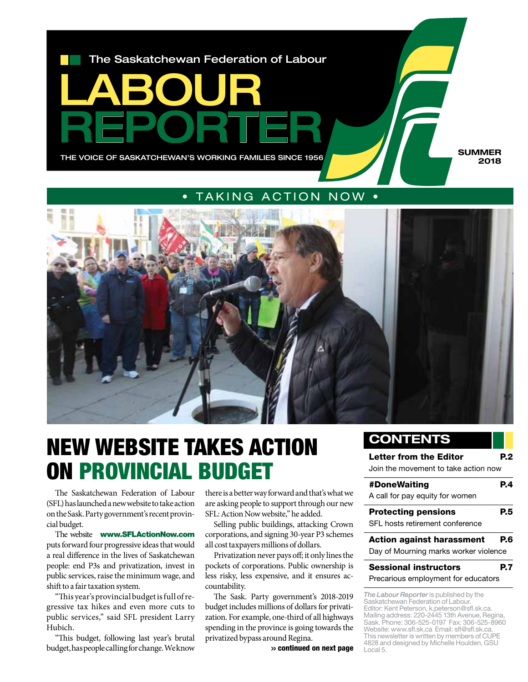

### • taking action now •



## NEW WEBSITE TAKES ACTION ON PROVINCIAL BUDGET

The Saskatchewan Federation of Labour (SFL) has launched a new website to take action on the Sask. Party government's recent provincial budget.

The website www.SFLActionNow.com puts forward four progressive ideas that would a real difference in the lives of Saskatchewan people: end P3s and privatization, invest in public services, raise the minimum wage, and shift to a fair taxation system.

"This year's provincial budget is full of regressive tax hikes and even more cuts to public services," said SFL president Larry Hubich.

"This budget, following last year's brutal budget, has people calling for change. We know

there is a better way forward and that's what we are asking people to support through our new SFL: Action Now website," he added.

Selling public buildings, attacking Crown corporations, and signing 30-year P3 schemes all cost taxpayers millions of dollars.

Privatization never pays off; it only lines the pockets of corporations. Public ownership is less risky, less expensive, and it ensures accountability.

The Sask. Party government's 2018-2019 budget includes millions of dollars for privatization. For example, one-third of all highways spending in the province is going towards the privatized bypass around Regina.

>> continued on next page

### **Contents**

### Letter from the Editor **P.2**

Join the movement to take action now

| A call for pay equity for women       |     |
|---------------------------------------|-----|
| <b>Protecting pensions</b>            | P5  |
| SFL hosts retirement conference       |     |
|                                       |     |
| <b>Action against harassment</b>      | P.6 |
| Day of Mourning marks worker violence |     |

Precarious employment for educators

*The Labour Reporter* is published by the Saskatchewan Federation of Labour. Editor: Kent Peterson, k.peterson@sfl.sk.ca. Mailing address: 220-2445 13th Avenue, Regina, Sask. Phone: 306-525-0197 Fax: 306-525-8960 Website: www.sfl.sk.ca Email: sfl@sfl.sk.ca. This newsletter is written by members of CUPE 4828 and designed by Michelle Houlden, GSU Local 5.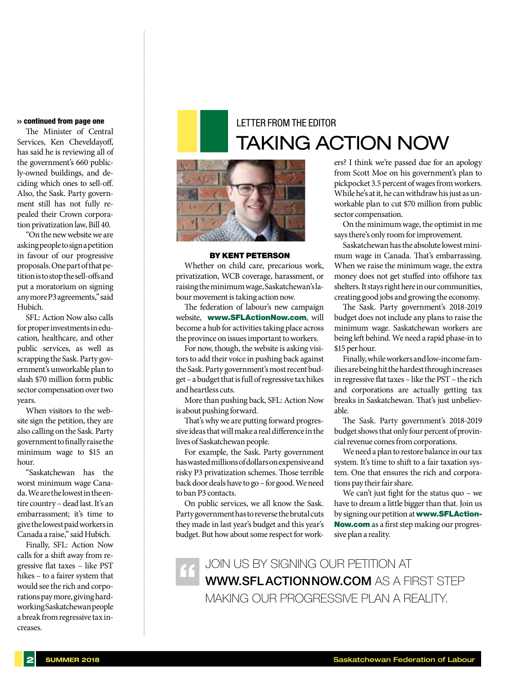#### >> continued from page one

The Minister of Central Services, Ken Cheveldayoff, has said he is reviewing all of the government's 660 publicly-owned buildings, and deciding which ones to sell-off. Also, the Sask. Party government still has not fully repealed their Crown corporation privatization law, Bill 40.

"On the new website we are asking people to sign a petition in favour of our progressive proposals. One part of that petition is to stop the sell-offs and put a moratorium on signing any more P3 agreements," said Hubich.

SFL: Action Now also calls for proper investments in education, healthcare, and other public services, as well as scrapping the Sask. Party government's unworkable plan to slash \$70 million form public sector compensation over two years.

When visitors to the website sign the petition, they are also calling on the Sask. Party government to finally raise the minimum wage to \$15 an hour.

"Saskatchewan has the worst minimum wage Canada. We are the lowest in the entire country – dead last. It's an embarrassment; it's time to give the lowest paid workers in Canada a raise," said Hubich.

Finally, SFL: Action Now calls for a shift away from regressive flat taxes – like PST hikes – to a fairer system that would see the rich and corporations pay more, giving hardworking Saskatchewan people a break from regressive tax increases.

### letter from the editor taking action now



#### By Kent Peterson

Whether on child care, precarious work, privatization, WCB coverage, harassment, or raising the minimum wage, Saskatchewan's labour movement is taking action now.

The federation of labour's new campaign website, www.SFLActionNow.com, will become a hub for activities taking place across the province on issues important to workers.

For now, though, the website is asking visitors to add their voice in pushing back against the Sask. Party government's most recent budget – a budget that is full of regressive tax hikes and heartless cuts.

More than pushing back, SFL: Action Now is about pushing forward.

That's why we are putting forward progressive ideas that will make a real difference in the lives of Saskatchewan people.

For example, the Sask. Party government has wasted millions of dollars on expensive and risky P3 privatization schemes. Those terrible back door deals have to go – for good. We need to ban P3 contacts.

On public services, we all know the Sask. Party government has to reverse the brutal cuts they made in last year's budget and this year's budget. But how about some respect for workers? I think we're passed due for an apology from Scott Moe on his government's plan to pickpocket 3.5 percent of wages from workers. While he's at it, he can withdraw his just as unworkable plan to cut \$70 million from public sector compensation.

On the minimum wage, the optimist in me says there's only room for improvement.

Saskatchewan has the absolute lowest minimum wage in Canada. That's embarrassing. When we raise the minimum wage, the extra money does not get stuffed into offshore tax shelters. It stays right here in our communities, creating good jobs and growing the economy.

The Sask. Party government's 2018-2019 budget does not include any plans to raise the minimum wage. Saskatchewan workers are being left behind. We need a rapid phase-in to \$15 per hour.

Finally, while workers and low-income families are being hit the hardest through increases in regressive flat taxes – like the PST – the rich and corporations are actually getting tax breaks in Saskatchewan. That's just unbelievable.

The Sask. Party government's 2018-2019 budget shows that only four percent of provincial revenue comes from corporations.

We need a plan to restore balance in our tax system. It's time to shift to a fair taxation system. One that ensures the rich and corporations pay their fair share.

We can't just fight for the status quo – we have to dream a little bigger than that. Join us by signing our petition at www.SFLAction-Now.com as a first step making our progressive plan a reality.

join us by signing our petition at **WWW.SFLACTIONNOW.COM AS A FIRST STEP** making our progressive plan a reality. "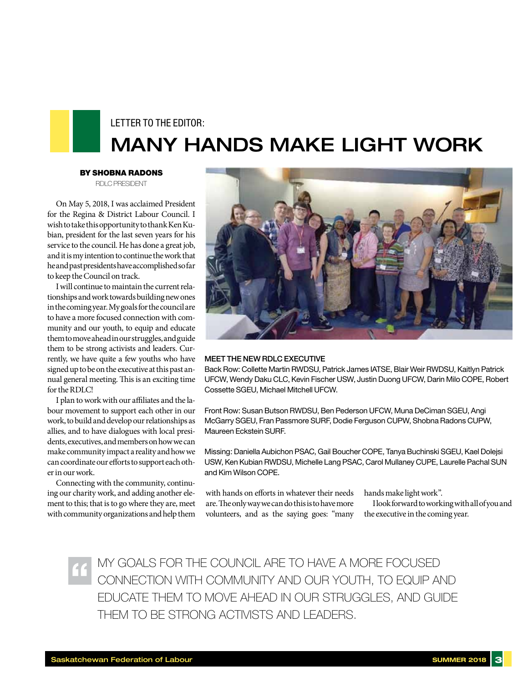### Letter to the Editor: Many hands make light work

By Shobna Radons

RDLC President

On May 5, 2018, I was acclaimed President for the Regina & District Labour Council. I wish to take this opportunity to thank Ken Kubian, president for the last seven years for his service to the council. He has done a great job, and it is my intention to continue the work that he and past presidents have accomplished so far to keep the Council on track.

I will continue to maintain the current relationships and work towards building new ones in the coming year. My goals for the council are to have a more focused connection with community and our youth, to equip and educate them to move ahead in our struggles, and guide them to be strong activists and leaders. Currently, we have quite a few youths who have signed up to be on the executive at this past annual general meeting. This is an exciting time for the RDLC!

I plan to work with our affiliates and the labour movement to support each other in our work, to build and develop our relationships as allies, and to have dialogues with local presidents, executives, and members on how we can make community impact a reality and how we can coordinate our efforts to support each other in our work.

Connecting with the community, continuing our charity work, and adding another element to this; that is to go where they are, meet with community organizations and help them



#### Meet the new RDLC Executive

Back Row: Collette Martin RWDSU, Patrick James IATSE, Blair Weir RWDSU, Kaitlyn Patrick UFCW, Wendy Daku CLC, Kevin Fischer USW, Justin Duong UFCW, Darin Milo COPE, Robert Cossette SGEU, Michael Mitchell UFCW.

Front Row: Susan Butson RWDSU, Ben Pederson UFCW, Muna DeCiman SGEU, Angi McGarry SGEU, Fran Passmore SURF, Dodie Ferguson CUPW, Shobna Radons CUPW, Maureen Eckstein SURF.

Missing: Daniella Aubichon PSAC, Gail Boucher COPE, Tanya Buchinski SGEU, Kael Dolejsi USW, Ken Kubian RWDSU, Michelle Lang PSAC, Carol Mullaney CUPE, Laurelle Pachal SUN and Kim Wilson COPE.

with hands on efforts in whatever their needs are. The only way we can do this is to have more volunteers, and as the saying goes: "many hands make light work".

I look forward to working with all of you and the executive in the coming year.

My goals for the council are to have a more focused connection with community and our youth, to equip and educate them to move ahead in our struggles, and guide THEM TO BE STRONG ACTIVISTS AND LEADERS. "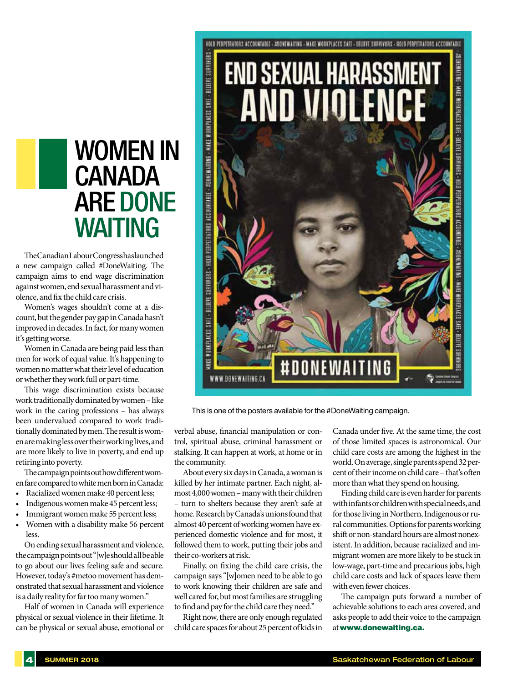## women in **CANADA ARE DONE WAITING**

The Canadian Labour Congress has launched a new campaign called #DoneWaiting. The campaign aims to end wage discrimination against women, end sexual harassment and violence, and fix the child care crisis.

Women's wages shouldn't come at a discount, but the gender pay gap in Canada hasn't improved in decades. In fact, for many women it's getting worse.

Women in Canada are being paid less than men for work of equal value. It's happening to women no matter what their level of education or whether they work full or part-time.

This wage discrimination exists because work traditionally dominated by women – like work in the caring professions – has always been undervalued compared to work traditionally dominated by men. The result is women are making less over their working lives, and are more likely to live in poverty, and end up retiring into poverty.

The campaign points out how different women fare compared to white men born in Canada:

- Racialized women make 40 percent less;
- Indigenous women make 45 percent less;
- Immigrant women make 55 percent less;
- Women with a disability make 56 percent less.

On ending sexual harassment and violence, the campaign points out "[w]e should all be able to go about our lives feeling safe and secure. However, today's #metoo movement has demonstrated that sexual harassment and violence is a daily reality for far too many women."

Half of women in Canada will experience physical or sexual violence in their lifetime. It can be physical or sexual abuse, emotional or



This is one of the posters available for the #DoneWaiting campaign.

verbal abuse, financial manipulation or control, spiritual abuse, criminal harassment or stalking. It can happen at work, at home or in the community.

About every six days in Canada, a woman is killed by her intimate partner. Each night, almost 4,000 women – many with their children – turn to shelters because they aren't safe at home. Research by Canada's unions found that almost 40 percent of working women have experienced domestic violence and for most, it followed them to work, putting their jobs and their co-workers at risk.

Finally, on fixing the child care crisis, the campaign says "[w]omen need to be able to go to work knowing their children are safe and well cared for, but most families are struggling to find and pay for the child care they need."

Right now, there are only enough regulated child care spaces for about 25 percent of kids in Canada under five. At the same time, the cost of those limited spaces is astronomical. Our child care costs are among the highest in the world. On average, single parents spend 32 percent of their income on child care – that's often more than what they spend on housing.

Finding child care is even harder for parents with infants or children with special needs, and for those living in Northern, Indigenous or rural communities. Options for parents working shift or non-standard hours are almost nonexistent. In addition, because racialized and immigrant women are more likely to be stuck in low-wage, part-time and precarious jobs, high child care costs and lack of spaces leave them with even fewer choices.

The campaign puts forward a number of achievable solutions to each area covered, and asks people to add their voice to the campaign at www.donewaiting.ca.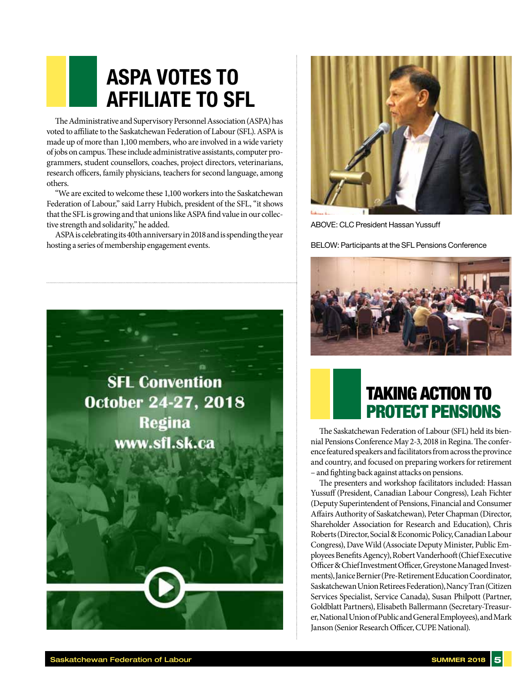## **ASPA votes to affiliate to SFL**

The Administrative and Supervisory Personnel Association (ASPA) has voted to affiliate to the Saskatchewan Federation of Labour (SFL). ASPA is made up of more than 1,100 members, who are involved in a wide variety of jobs on campus. These include administrative assistants, computer programmers, student counsellors, coaches, project directors, veterinarians, research officers, family physicians, teachers for second language, among others.

"We are excited to welcome these 1,100 workers into the Saskatchewan Federation of Labour," said Larry Hubich, president of the SFL, "it shows that the SFL is growing and that unions like ASPA find value in our collective strength and solidarity," he added.

ASPA is celebrating its 40th anniversary in 2018 and is spending the year hosting a series of membership engagement events.





ABOVE: CLC President Hassan Yussuff

BELOW: Participants at the SFL Pensions Conference



## taking action to protect pensions

The Saskatchewan Federation of Labour (SFL) held its biennial Pensions Conference May 2-3, 2018 in Regina. The conference featured speakers and facilitators from across the province and country, and focused on preparing workers for retirement – and fighting back against attacks on pensions.

The presenters and workshop facilitators included: Hassan Yussuff (President, Canadian Labour Congress), Leah Fichter (Deputy Superintendent of Pensions, Financial and Consumer Affairs Authority of Saskatchewan), Peter Chapman (Director, Shareholder Association for Research and Education), Chris Roberts (Director, Social & Economic Policy, Canadian Labour Congress), Dave Wild (Associate Deputy Minister, Public Employees Benefits Agency), Robert Vanderhooft (Chief Executive Officer & Chief Investment Officer, Greystone Managed Investments), Janice Bernier (Pre-Retirement Education Coordinator, Saskatchewan Union Retirees Federation), Nancy Tran (Citizen Services Specialist, Service Canada), Susan Philpott (Partner, Goldblatt Partners), Elisabeth Ballermann (Secretary-Treasurer, National Union of Public and General Employees), and Mark Janson (Senior Research Officer, CUPE National).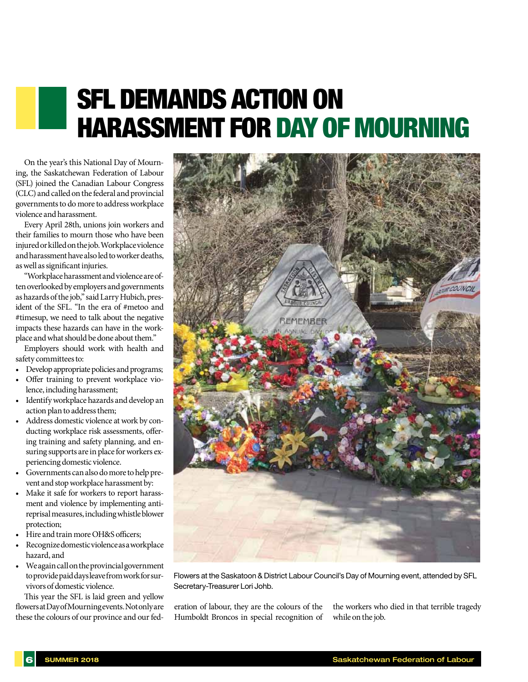# sfl demands action on harassment for day of mourning

On the year's this National Day of Mourning, the Saskatchewan Federation of Labour (SFL) joined the Canadian Labour Congress (CLC) and called on the federal and provincial governments to do more to address workplace violence and harassment.

Every April 28th, unions join workers and their families to mourn those who have been injured or killed on the job. Workplace violence and harassment have also led to worker deaths, as well as significant injuries.

"Workplace harassment and violence are often overlooked by employers and governments as hazards of the job," said Larry Hubich, president of the SFL. "In the era of #metoo and #timesup, we need to talk about the negative impacts these hazards can have in the workplace and what should be done about them."

Employers should work with health and safety committees to:

- • Develop appropriate policies and programs;
- • Offer training to prevent workplace violence, including harassment;
- • Identify workplace hazards and develop an action plan to address them;
- • Address domestic violence at work by conducting workplace risk assessments, offering training and safety planning, and ensuring supports are in place for workers experiencing domestic violence.
- Governments can also do more to help prevent and stop workplace harassment by:
- Make it safe for workers to report harassment and violence by implementing antireprisal measures, including whistle blower protection;
- Hire and train more OH&S officers;
- Recognize domestic violence as a workplace hazard, and
- • We again call on the provincial government to provide paid days leave from work for survivors of domestic violence.

This year the SFL is laid green and yellow flowers at Day of Mourning events. Not only are these the colours of our province and our fed-



Flowers at the Saskatoon & District Labour Council's Day of Mourning event, attended by SFL Secretary-Treasurer Lori Johb.

eration of labour, they are the colours of the Humboldt Broncos in special recognition of the workers who died in that terrible tragedy while on the job.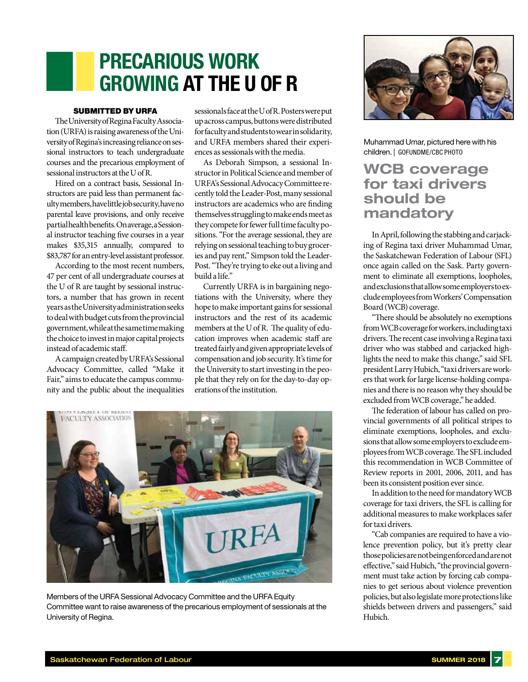## **precarious work growing at the U of R**

### SUBMITTED BY URFA

The University of Regina Faculty Association (URFA) is raising awareness of the University of Regina's increasing reliance on sessional instructors to teach undergraduate courses and the precarious employment of sessional instructors at the U of R.

Hired on a contract basis, Sessional Instructors are paid less than permanent faculty members, have little job security, have no parental leave provisions, and only receive partial health benefits. On average, a Sessional instructor teaching five courses in a year makes \$35,315 annually, compared to \$83,787 for an entry-level assistant professor.

According to the most recent numbers, 47 per cent of all undergraduate courses at the U of R are taught by sessional instructors, a number that has grown in recent years as the University administration seeks to deal with budget cuts from the provincial government, while at the same time making the choice to invest in major capital projects instead of academic staff.

A campaign created by URFA's Sessional Advocacy Committee, called "Make it Fair," aims to educate the campus community and the public about the inequalities sessionals face at the U of R. Posters were put up across campus, buttons were distributed for faculty and students to wear in solidarity, and URFA members shared their experiences as sessionals with the media.

As Deborah Simpson, a sessional Instructor in Political Science and member of URFA's Sessional Advocacy Committee recently told the Leader-Post, many sessional instructors are academics who are finding themselves struggling to make ends meet as they compete for fewer full time faculty positions. "For the average sessional, they are relying on sessional teaching to buy groceries and pay rent," Simpson told the Leader-Post. "They're trying to eke out a living and build a life."

Currently URFA is in bargaining negotiations with the University, where they hope to make important gains for sessional instructors and the rest of its academic members at the U of R. The quality of education improves when academic staff are treated fairly and given appropriate levels of compensation and job security. It's time for the University to start investing in the people that they rely on for the day-to-day operations of the institution.



Members of the URFA Sessional Advocacy Committee and the URFA Equity Committee want to raise awareness of the precarious employment of sessionals at the University of Regina.



Muhammad Umar, pictured here with his children. | GOFUNDME/CBC PHOTO

### **WCB coverage for taxi drivers should be mandatory**

In April, following the stabbing and carjacking of Regina taxi driver Muhammad Umar, the Saskatchewan Federation of Labour (SFL) once again called on the Sask. Party government to eliminate all exemptions, loopholes, and exclusions that allow some employers to exclude employees from Workers' Compensation Board (WCB) coverage.

"There should be absolutely no exemptions from WCB coverage for workers, including taxi drivers. The recent case involving a Regina taxi driver who was stabbed and carjacked highlights the need to make this change," said SFL president Larry Hubich, "taxi drivers are workers that work for large license-holding companies and there is no reason why they should be excluded from WCB coverage," he added.

The federation of labour has called on provincial governments of all political stripes to eliminate exemptions, loopholes, and exclusions that allow some employers to exclude employees from WCB coverage. The SFL included this recommendation in WCB Committee of Review reports in 2001, 2006, 2011, and has been its consistent position ever since.

In addition to the need for mandatory WCB coverage for taxi drivers, the SFL is calling for additional measures to make workplaces safer for taxi drivers.

"Cab companies are required to have a violence prevention policy, but it's pretty clear those policies are not being enforced and are not effective," said Hubich, "the provincial government must take action by forcing cab companies to get serious about violence prevention policies, but also legislate more protections like shields between drivers and passengers," said Hubich.